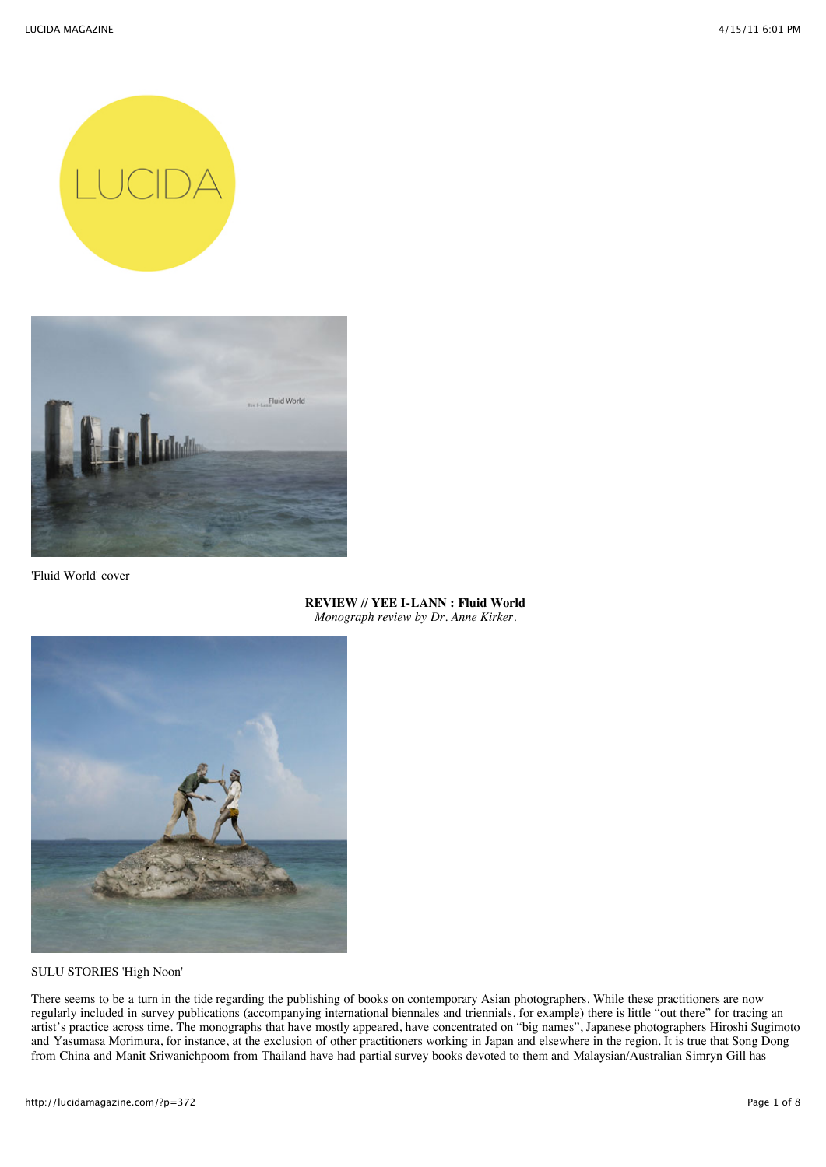



'Fluid World' cover

## **REVIEW // YEE I-LANN : Fluid World** *Monograph review by Dr. Anne Kirker.*



SULU STORIES 'High Noon'

There seems to be a turn in the tide regarding the publishing of books on contemporary Asian photographers. While these practitioners are now regularly included in survey publications (accompanying international biennales and triennials, for example) there is little "out there" for tracing an artist's practice across time. The monographs that have mostly appeared, have concentrated on "big names", Japanese photographers Hiroshi Sugimoto and Yasumasa Morimura, for instance, at the exclusion of other practitioners working in Japan and elsewhere in the region. It is true that Song Dong from China and Manit Sriwanichpoom from Thailand have had partial survey books devoted to them and Malaysian/Australian Simryn Gill has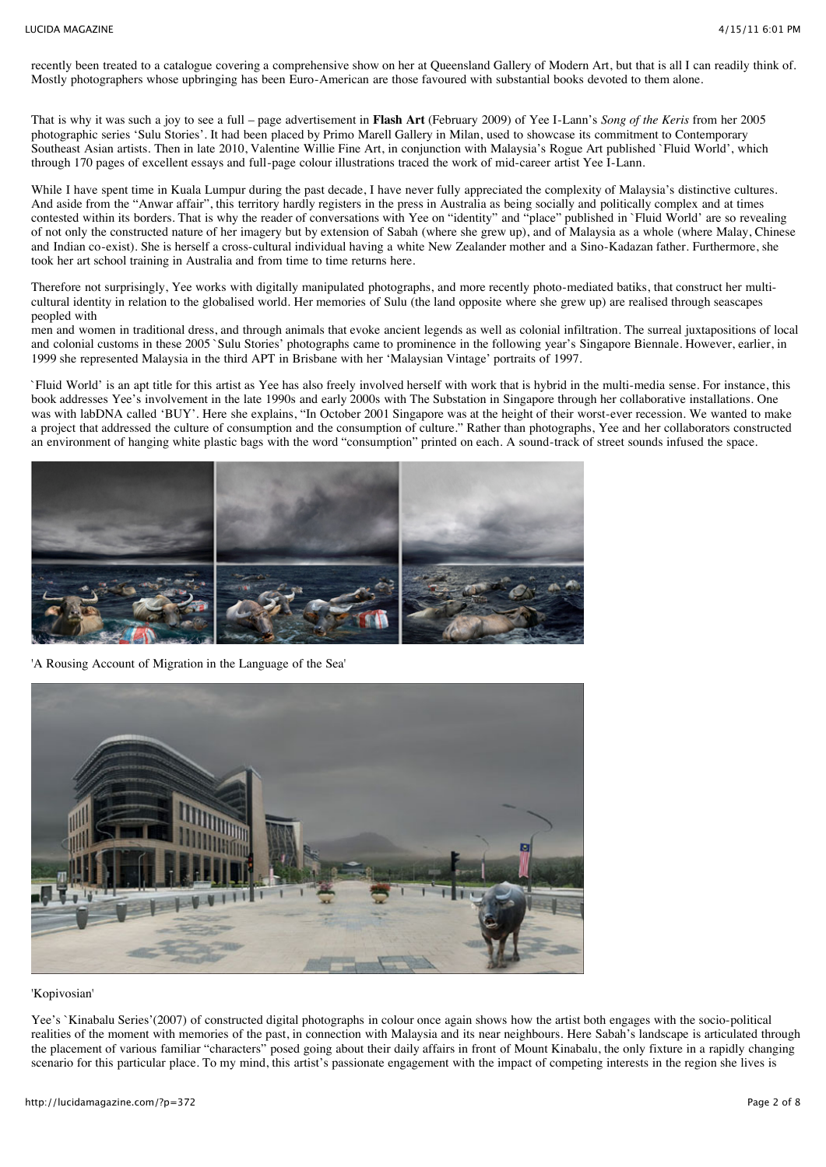recently been treated to a catalogue covering a comprehensive show on her at Queensland Gallery of Modern Art, but that is all I can readily think of. Mostly photographers whose upbringing has been Euro-American are those favoured with substantial books devoted to them alone.

That is why it was such a joy to see a full – page advertisement in **Flash Art** (February 2009) of Yee I-Lann's *Song of the Keris* from her 2005 photographic series 'Sulu Stories'. It had been placed by Primo Marell Gallery in Milan, used to showcase its commitment to Contemporary Southeast Asian artists. Then in late 2010, Valentine Willie Fine Art, in conjunction with Malaysia's Rogue Art published `Fluid World', which through 170 pages of excellent essays and full-page colour illustrations traced the work of mid-career artist Yee I-Lann.

While I have spent time in Kuala Lumpur during the past decade, I have never fully appreciated the complexity of Malaysia's distinctive cultures. And aside from the "Anwar affair", this territory hardly registers in the press in Australia as being socially and politically complex and at times contested within its borders. That is why the reader of conversations with Yee on "identity" and "place" published in `Fluid World' are so revealing of not only the constructed nature of her imagery but by extension of Sabah (where she grew up), and of Malaysia as a whole (where Malay, Chinese and Indian co-exist). She is herself a cross-cultural individual having a white New Zealander mother and a Sino-Kadazan father. Furthermore, she took her art school training in Australia and from time to time returns here.

Therefore not surprisingly, Yee works with digitally manipulated photographs, and more recently photo-mediated batiks, that construct her multicultural identity in relation to the globalised world. Her memories of Sulu (the land opposite where she grew up) are realised through seascapes peopled with

men and women in traditional dress, and through animals that evoke ancient legends as well as colonial infiltration. The surreal juxtapositions of local and colonial customs in these 2005 `Sulu Stories' photographs came to prominence in the following year's Singapore Biennale. However, earlier, in 1999 she represented Malaysia in the third APT in Brisbane with her 'Malaysian Vintage' portraits of 1997.

`Fluid World' is an apt title for this artist as Yee has also freely involved herself with work that is hybrid in the multi-media sense. For instance, this book addresses Yee's involvement in the late 1990s and early 2000s with The Substation in Singapore through her collaborative installations. One was with labDNA called 'BUY'. Here she explains, "In October 2001 Singapore was at the height of their worst-ever recession. We wanted to make a project that addressed the culture of consumption and the consumption of culture." Rather than photographs, Yee and her collaborators constructed an environment of hanging white plastic bags with the word "consumption" printed on each. A sound-track of street sounds infused the space.



'A Rousing Account of Migration in the Language of the Sea'



'Kopivosian'

Yee's `Kinabalu Series'(2007) of constructed digital photographs in colour once again shows how the artist both engages with the socio-political realities of the moment with memories of the past, in connection with Malaysia and its near neighbours. Here Sabah's landscape is articulated through the placement of various familiar "characters" posed going about their daily affairs in front of Mount Kinabalu, the only fixture in a rapidly changing scenario for this particular place. To my mind, this artist's passionate engagement with the impact of competing interests in the region she lives is